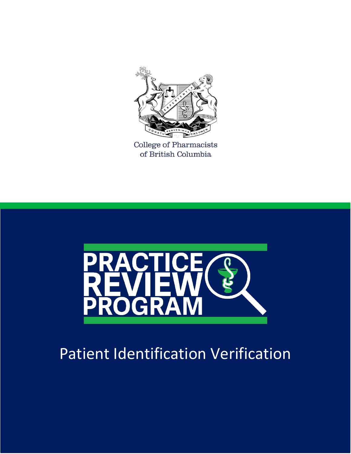

College of Pharmacists of British Columbia



## Patient Identification Verification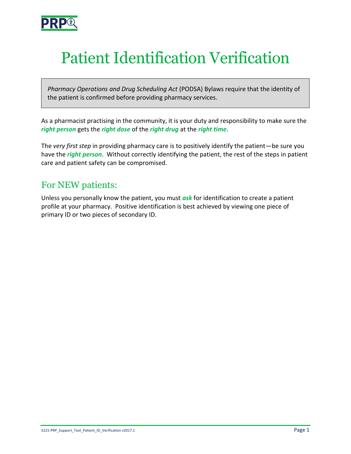

# Patient Identification Verification

*Pharmacy Operations and Drug Scheduling Act* (PODSA) Bylaws require that the identity of the patient is confirmed before providing pharmacy services.

As a pharmacist practising in the community, it is your duty and responsibility to make sure the *right person* gets the *right dose* of the *right drug* at the *right time*.

The *very first step* in providing pharmacy care is to positively identify the patient—be sure you have the *right person*. Without correctly identifying the patient, the rest of the steps in patient care and patient safety can be compromised.

## For NEW patients:

Unless you personally know the patient, you must *ask* for identification to create a patient profile at your pharmacy. Positive identification is best achieved by viewing one piece of primary ID or two pieces of secondary ID.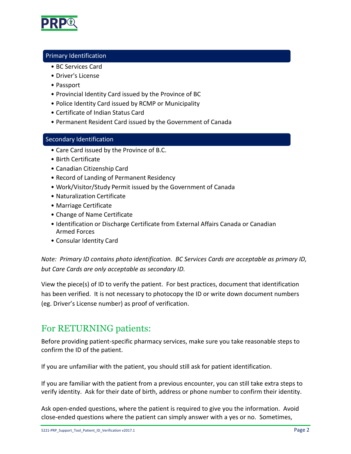

#### Primary Identification

- BC Services Card
- Driver's License
- Passport
- Provincial Identity Card issued by the Province of BC
- Police Identity Card issued by RCMP or Municipality
- Certificate of Indian Status Card
- Permanent Resident Card issued by the Government of Canada

#### Secondary Identification

- Care Card issued by the Province of B.C.
- Birth Certificate
- Canadian Citizenship Card
- Record of Landing of Permanent Residency
- Work/Visitor/Study Permit issued by the Government of Canada
- Naturalization Certificate
- Marriage Certificate
- Change of Name Certificate
- Identification or Discharge Certificate from External Affairs Canada or Canadian Armed Forces
- Consular Identity Card

*Note: Primary ID contains photo identification. BC Services Cards are acceptable as primary ID, but Care Cards are only acceptable as secondary ID.*

View the piece(s) of ID to verify the patient. For best practices, document that identification has been verified. It is not necessary to photocopy the ID or write down document numbers (eg. Driver's License number) as proof of verification.

## For RETURNING patients:

Before providing patient-specific pharmacy services, make sure you take reasonable steps to confirm the ID of the patient.

If you are unfamiliar with the patient, you should still ask for patient identification.

If you are familiar with the patient from a previous encounter, you can still take extra steps to verify identity. Ask for their date of birth, address or phone number to confirm their identity.

Ask open-ended questions, where the patient is required to give you the information. Avoid close-ended questions where the patient can simply answer with a yes or no. Sometimes,